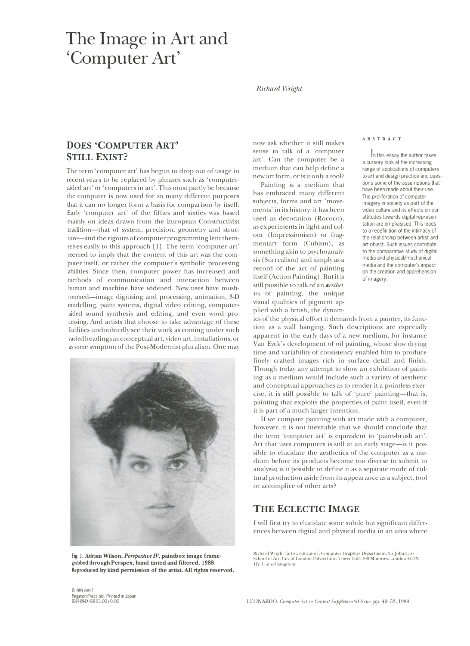# The Image in Art and 'Computer Art'

# **DOES 'COMPUTER ART' STILL EXIST?**

The term 'computer art' has begun to drop out of usage in recent years to be replaced by phrases such as 'computeraided art' or 'computers in art'. This must partly be because the computer is now used for so many different purposes that it can no longer form a basis for comparison by itself. Early 'computer art' of the fifties and sixties was based mainly on ideas drawn from the European Constructivist tradition-that of system, precision, geometry and structure-and the rigours of computer programming lent themselves easily to this approach [l]. The term 'computer art' seemed to imply that the content of this art was the computer itself, or rather the computer's symbolic processing abilities. Since then, computer power has increased and methods of communication and interaction between human and machine have widened. New uses have mushroomed-image digitising and processing, animation, 3-D modelling, paint systems, digital video editing, computeraided sound synthesis and editing, and even word processing. And artists that choose to take advantage of these facilities undoubtedly see their work as coming under such varied headings as conceptual art, video art, installations, or as some symptom of the Post-Modernist pluralism. One may



**Fig.** I. **Adrian Wilson,** *Perspextive IV,* **paintbox image frame**grabbed **through Perspex, hand tinted and filtered, 1988.**  Reproduced **by kind permission of the artist. All rights reserved.** 

## *Richard Wright*

now ask whether it still makes sense to talk of a 'computer art'. Can the computer be a medium that can help define a new art form, or is it only a tool?

Painting is a medium that has embraced many different subjects, forms and art 'movements' in its history: it has been used as decoration (Rococo), as experiments in light and colour (Impressionism) or fragmentary form (Cubism), as something akin to psychoanalysis (Surrealism) and simply as a record of the act of painting itself (Action Painting). But it is still possible to talk of an *aesthet ics* of painting, the unique visual qualities of pigment applied with a brush, the dynam-

### ABSTRACT

In this essay the author takes a cursory look at the increasing range of applications of computers to art and design practice and questions some of the assumptions that have been made about their use. The proliferation of computer imagery in society as part of the video culture and its effects on our attitudes towards digital representation are emphasised. This leads to a redefinition of the intimacy of the relationship between artist and art object. Such issues contribute to the comparative study of digital media and physical/mechanical media and the computer's impact on the creation and apprehension of imagery.

ics of the physical effort it demands from a painter, its function as a wall hanging. Such descriptions are especially apparent in the early days of a new medium, for instance Van Eyck's development of oil painting, whose slow drying time and variability of consistency enabled him to produce finely crafted images rich in surface detail and finish. Though today any attempt to show an exhibition of painting as a medium would include such a variety of aesthetic and conceptual approaches as to render it a pointless exercise, it is still possible to talk of 'pure' painting-that is, painting that exploits the properties of paint itself, even if it is part of a much larger intention.

If we compare painting with art made with a computer, however, it is not inevitable that we should conclude that the term 'computer art' is equivalent to 'paint-brush art'. Art that uses computers is still at an early stage-is it possible to elucidate the aesthetics of the computer as a medium before its products become too diverse to submit to analysis; is it possible to define it as a separate mode of cultural production aside from its appearance as a subject, tool or accomplice of other arts?

## **THE ECLECTIC IMAGE**

I will first try to elucidate some subtle but significant differences between digital and physical media in an area where

©19891SAST Pergamon Press pie. Printed in Japan. 0024-094X/89 \$3.00+0.00

Richard Wright (artist, educator). Computer Graphics Department, Sir John Cass School of Art, City of London Polytechnic, Tower Hill, 100 Minories, London EC3N IJY, United Kingdom.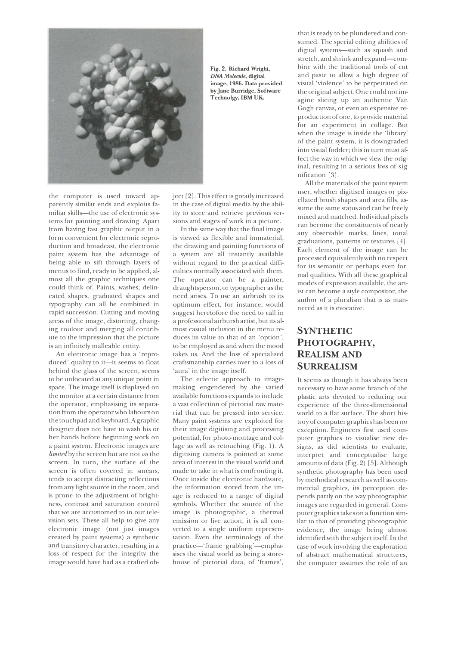

the computer is used toward apparently similar ends and exploits familiar skills-the use of electronic systems for painting and drawing. Apart from having fast graphic output in a form convenient for electronic reproduction and broadcast, the electronic paint system has the advantage of being able to sift through layers of menus to find, ready to be applied, almost all the graphic techniques one could think of. Paints, washes, delineated shapes, graduated shapes and typography can all be combined in rapid succession. Cutting and moving areas of the image, distorting, changing coulour and merging all contribute to the impression that the picture is an infinitely malleable entity.

An electronic image has a 'reproduced' quality to it-it seems to float behind the glass of the screen, seems to be unlocated at any unique point in space. The image itself is displayed on the monitor at a certain distance from the operator, emphasising its separation from the operator who labours on the touch pad and keyboard. A graphic designer does not have to wash his or her hands before beginning work on a paint system. Electronic images are *limited* by the screen but are not *on* the screen. In turn, the surface of the screen is often covered in smears, tends to accept distracting reflections from any light source in the room, and is prone to the adjustment of brightness, contrast and saturation control that we are accustomed to in our television sets. These all help **to** give any electronic image (not just images created by paint systems) a synthetic and transitory character, resulting in a loss of respect for the integrity the image would have had as a crafted ob-

**Fig. 2. Richard Wright,**  *DNA Molecule,* **digital image, 1986. Data provided by Jane Burridge, Software Technolgy, IBM UK.** 

ject [2]. This effect is greatly increased in the case of digital media by the ability to store and retrieve previous versions and stages of work in a picture.

In the same way that the final image is viewed as flexible and immaterial, the drawing and painting functions of a system are all instantly available without regard to the practical difficulties normally associated with them. The operator can be a painter, draughtsperson, or typographer as the need arises. To use an airbrush to its optimum effect, for instance, would suggest heretofore the need to call in a professional airbursh artist, but its almost casual inclusion in the menu reduces its value to that of an 'option', to be employed as and when the mood takes us. And the loss of specialised craftsmanship carries over to a loss of 'aura' in the image itself.

The eclectic approach to imagemaking engendered by the varied available functions expands to include a vast collection of pictorial raw material that can be pressed into service. Many paint systems are exploited for their image digitising and processing potential, for photo-montage and collage as well as retouching (Fig. I). A digitising camera is pointed at some area of interest in the visual world and made to take in what is confronting it. Once inside the electronic hardware, the information stored from the image is reduced to a range of digital symbols. Whether the source of the image is photographic, a thermal emission or live action, it is all converted to a single uniform represen tation. Even the terminology of the practice-'frame grabbing'-emphasises the visual world as being a storehouse of pictorial data, of 'frames',

that is ready to be plundered and consumed. The special editing abilities of digital systems-such as squash and stretch, and shrink and expand-combine with the traditional tools of cut and paste to allow a high degree of visual 'violence' to be perpetrated on the original subject. One could not imagine slicing up an authentic Van Gogh canvas, or even an expensive reproduction of one, to provide material for an experiment in collage. But when the image is inside the 'library' of the paint system, it is downgraded into visual fodder; this in turn must affect the way in which we view the original, resulting in a serious loss of signification [3].

All the materials of the paint system user, whether digitised images or pixellated brush shapes and area fills, assume the same status and can be freely mixed and matched. Individual pixels can become the constituents of nearly any observable marks, lines, tonal graduations, patterns or textures [ 4]. Each element of the image can be processed equivalently with no respect for its semantic or perhaps even for mal qualities. With all these graphical modes of expression available, the artist can become a style compositor, the author of a pluralism that is as mannered as it is evocative.

# **SYNTHETIC PHOTOGRAPHY, REALISM AND SURREALISM**

It seems as though it has always been necessary to have some branch of the plastic arts devoted to reducing our experience of the three-dimensional world to a flat surface. The short history of computer graphics has been no exception. Engineers first used computer graphics to visualise new designs, as did scientists to evaluate, interpret and conceptualise large amounts of data (Fig. 2) [5]. Although synthetic photography has been used by methodical research as well as commercial graphics, its perception depends partly on the way photographic images are regarded in general. Computer graphics takes on a function similar to that of providing photographic evidence, the image being almost identified with the subject itself. In the case of work involving the exploration of abstract mathematical structures, the computer assumes the role of an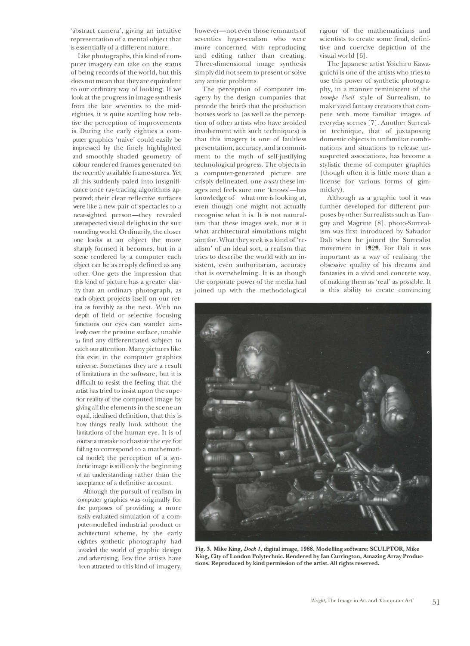'abstract camera', giving an intuitive representation of a mental object that is essentially of a different nature.

Like photographs, this kind of computer imagery can take on the status of being records of the world, but this does not mean that they are equivalent to our ordinary way of looking. If we look at the progress in image synthesis from the late seventies to the mideighties, it is quite startling how relative the perception of improvements is. During the early eighties a computer graphics 'naive' could easily be impressed by the finely highlighted and smoothly shaded geometry of colour rendered frames generated on the recently available frame-stores. Yet all this suddenly paled into insignificance once ray-tracing algorithms appeared; their clear reflective surfaces were like a new pair of spectacles to a near-sighted person-they revealed unsuspected visual delights in the surrounding world. Ordinarily, the closer one looks at an object the more sharply focused it becomes, but in a scene rendered by a computer each object can be as crisply defined as any other. One gets the impression that this kind of picture has a greater clarity than an ordinary photograph, as each object projects itself on our retina as forcibly as the next. With no depth of field or selective focusing functions our eyes can wander aimlessly over the pristine surface, unable to find any differentiated subject to catch our attention. Many pictures like this exist in the computer graphics universe. Sometimes they are a result of limitations in the software, but it is difficult to resist the feeling that the artist has tried to insist upon the superior reality of the computed image by giving all the elements in the scene an equal, idealised definition, that this is how things really look without the limitations of the human eye. It is of course a mistake to chastise the eye for failing to correspond to a mathematical model; the perception of a synthetic image is still only the beginning of an understanding rather than the acceptance of a definitive account.

Although the pursuit of realism in computer graphics was originally for the purposes of providing a more easily evaluated simulation of a computer-modelled industrial product or architectural scheme, by the early eighties synthetic photography had invaded the world of graphic design and advertising. Few fine artists have been attracted to this kind of imagery, however-not even those remnants of seventies hyper-realism who were more concerned with reproducing and editing rather than creating. Three-dimensional image synthesis simply did not seem to present or solve any artistic problems.

The perception of computer imagery by the design companies that provide the briefs that the production houses work to (as well as the perception of other artists who have avoided involvement with such techniques) is that this imagery is one of faultless presentation, accuracy, and a commitment to the myth of self-justifying technological progress. The objects in a computer-generated picture are crisply delineated, one *trusts* these images and feels sure one 'knows'—has knowledge of what one is looking at, even though one might not actually recognise what it is. It is not naturalism that these images seek, nor is it what architectural simulations might aim for. What they seek is a kind of'realism' of an ideal sort, a realism that tries to describe the world with an insistent, even authoritarian, accuracy that is overwhelming. It is as though the corporate power of the media had joined up with the methodological

rigour of the mathematicians and scientists to create some final, definitive and coercive depiction of the visual world [6].

The Japanese artist Yoichiro Kawaguichi is one of the artists who tries to use this power of synthetic photography, in a manner reminiscent of the *trompe l'oeil* style of Surrealism, to make vivid fantasy creations that compete with more familiar images of everyday scenes [7]. Another Surrealist technique, that of juxtaposing domestic objects in unfamiliar combinations and situations to release unsuspected associations, has become a stylistic theme of computer graphics (though often it is little more than a license for various forms of gimmickry).

Although as a graphic tool it was further developed for different purposes by other Surrealists such as Tanguy and Magritte [8], photo-Surrealism was first introduced by Salvador Dali when he joined the Surrealist movement in 1929. For Dali it was important as a way of realising the obsessive quality of his dreams and fantasies in a vivid and concrete way, of making them as 'real' as possible. It is this ability to create convincing



**Fig. 3. Mike King,** *Dock 1,* **digital image, 1988. Modelling software: SCULPTOR, Mike King, City of London Polytechnic. Rendered by Ian Currington, Amazing Array Productions. Reproduced by kind permission of the artist. All rights. reserved.**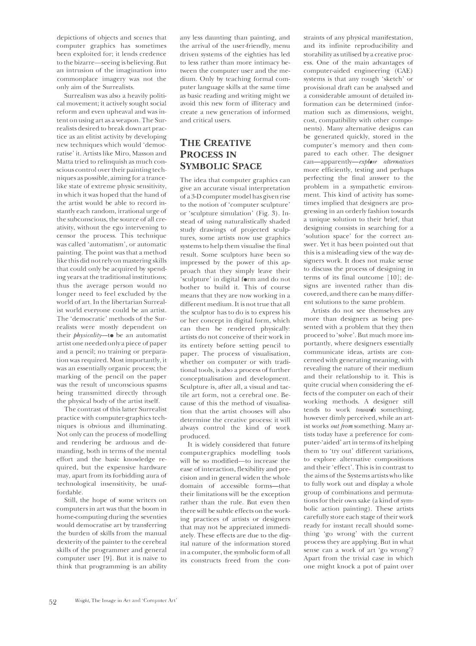depictions of objects and scenes that computer graphics has sometimes been exploited for; it lends credence to the bizarre-seeing is believing. But an intrusion of the imagination into commonplace imagery was not the only aim of the Surrealists.

Surrealism was also a heavily political movement; it actively sought social reform and even upheaval and was intent on using art as a weapon. The Surrealists desired to break down art practice as an elitist activity by developing new techniques which would 'democratise' it. Artists like Miro, Masson and Matta tried to relinquish as much conscious control over their painting techniques as possible, aiming for a trancelike state of extreme physic sensitivity, in which it was hoped that the hand of the artist would be able to record instantly each random, irrational urge of the subconscious, the source of all creativity, without the ego intervening to censor the process. This technique was called 'automatism', or automatic painting. The point was that a method like this did not rely on mastering skills that could only be acquired by spending years at the traditional institutions; thus the average person would no longer need to feel excluded by the world of art. In the libertarian Surrealist world everyone could be an artist. The 'democratic' methods of the Surrealists were mostly dependent on their *physicality*—to be an automatist artist one needed only a piece of paper and a pencil; no training or preparation was required. Most importantly, it was an essentially organic process; the marking of the pencil on the paper was the result of unconscious spasms being transmitted directly through the physical body of the artist itself.

The contrast of this latter Surrealist practice with computer-graphics techniques is obvious and illuminating. Not only can the process of modelling and rendering be arduous and demanding, both in terms of the mental effort and the basic knowledge required, but the expensive hardware may, apart from its forbidding aura of technological insensitivity, be unaffordable.

Still, the hope of some writers on computers in art was that the boom in home-computing during the seventies would democratise art by transferring the burden of skills from the manual dexterity of the painter to the cerebral skills of the programmer and general computer user [9]. But it is naive to think that programming is an ability

any less daunting than painting, and the arrival of the user-friendly, menu driven systems of the eighties has led to less rather than more intimacy between the computer user and the medium. Only by teaching formal computer language skills at the same time as basic reading and writing might we avoid this new form of illiteracy and create a new generation of informed and critical users.

# **THE CREATIVE PROCESS IN SYMBOLIC SPACE**

The idea that computer graphics can give an accurate visual interpretation of a3-D computer model has given rise to the notion of 'computer sculpture' or 'sculpture simulation' (Fig. 3). Instead of using naturalistically shaded study drawings of projected sculptures, some artists now use graphics systems to help them visualise the final result. Some sculptors have been so impressed by the power of this approach that they simply leave their 'sculpture' in digital form and do not bother to build it. This of course means that they are now working in a different medium. It is not true that all the sculptor has to do is to express his or her concept in digital form, which can then be rendered physically: artists do not conceive of their work in its entirety before setting pencil to paper. The process of visualisation, whether on computer or with traditional tools, is also a process of further conceptualisation and development. Sculpture is, after all, a visual and tactile art form, not a cerebral one. Because of this the method of visualisation that the artist chooses will also determine the creative process: it will always control the kind of work produced.

It is widely considered that future computergraphics modelling tools will be so modified-to increase the ease of interaction, flexibility and precision and in general widen the whole domain of accessible forms-that their limitations will be the exception rather than the rule. But even then there will be subtle effects on the working practices of artists or designers that may not be appreciated immediately. These effects are due to the digital nature of the information stored in a computer, the symbolic form ofall its constructs f r eed from the constraints of any physical manifestation, and its infinite reproducibility and storability as utilised by a creative process. One of the main advantages of computer-aided engineering (CAE) systems is that any rough 'sketch' or provisional draft can be analysed and a considerable amount of detailed information can be determined (information such as dimensions, weight, cost, compatibility with other components). Many alternative designs can be generated quickly, stored in the computer's memory and then compared to each other. The designer can-apparently-explore *alternatives*  more efficiently, testing and perhaps perfecting the final answer to the problem in a sympathetic environment. This kind of activity has sometimes implied that designers are progressing in an orderly fashion towards a unique solution to their brief, that designing consists in searching for a 'solution space' for the correct answer. Yet it has been pointed out that this is a misleading view of the way designers work. It does not make sense to discuss the process of designing in terms of its final outcome [ 10]; designs are invented rather than discovered, and there can be many different solutions to the same problem.

Artists do not see themselves any more than designers as being presented with a problem that they then proceed to 'solve'. But much more importantly, where designers essentially communicate ideas, artists are concerned with generating meaning, with revealing the nature of their medium and their relationship to it. This is quite crucial when considering the effects of the computer on each of their working methods. A designer still tends to work *towmds* something, however dimly perceived, while an artist works *out from* something. Many artists today have a preference for computer-'aided' art in terms of its helping them to 'try out' different variations, to explore alternative compositions and their 'effect'. This is in contrast to the aims of the Systems artists who like to fully work out and display a whole group of combinations and permutations for their own sake (a kind of symbolic action painting). These artists carefully store each stage of their work ready for instant recall should something 'go wrong' with the current process they are applying. But in what sense can a work of art 'go wrong'? Apart from the trivial case in which one might knock a pot of paint over